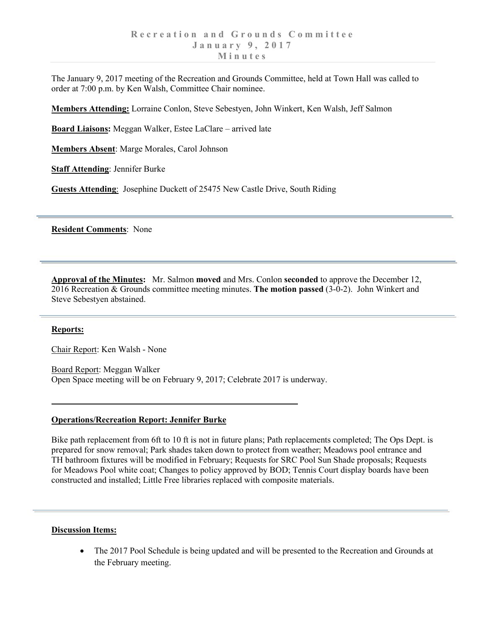The January 9, 2017 meeting of the Recreation and Grounds Committee, held at Town Hall was called to order at 7:00 p.m. by Ken Walsh, Committee Chair nominee.

**Members Attending:** Lorraine Conlon, Steve Sebestyen, John Winkert, Ken Walsh, Jeff Salmon

**Board Liaisons:** Meggan Walker, Estee LaClare – arrived late

**Members Absent**: Marge Morales, Carol Johnson

**Staff Attending**: Jennifer Burke

**Guests Attending**: Josephine Duckett of 25475 New Castle Drive, South Riding

**Resident Comments**: None

**Approval of the Minutes:** Mr. Salmon **moved** and Mrs. Conlon **seconded** to approve the December 12, 2016 Recreation & Grounds committee meeting minutes. **The motion passed** (3-0-2). John Winkert and Steve Sebestyen abstained.

## **Reports:**

Chair Report: Ken Walsh - None

Board Report: Meggan Walker Open Space meeting will be on February 9, 2017; Celebrate 2017 is underway.

## **Operations/Recreation Report: Jennifer Burke**

Bike path replacement from 6ft to 10 ft is not in future plans; Path replacements completed; The Ops Dept. is prepared for snow removal; Park shades taken down to protect from weather; Meadows pool entrance and TH bathroom fixtures will be modified in February; Requests for SRC Pool Sun Shade proposals; Requests for Meadows Pool white coat; Changes to policy approved by BOD; Tennis Court display boards have been constructed and installed; Little Free libraries replaced with composite materials.

## **Discussion Items:**

• The 2017 Pool Schedule is being updated and will be presented to the Recreation and Grounds at the February meeting.